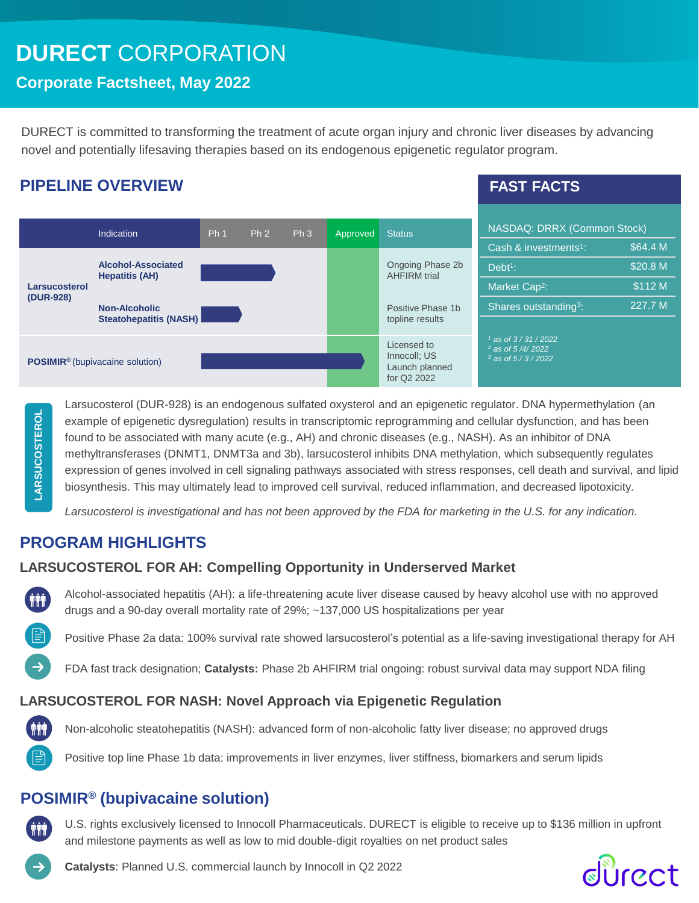# **DURECT** CORPORATION

### **Corporate Factsheet, May 2022**

DURECT is committed to transforming the treatment of acute organ injury and chronic liver diseases by advancing novel and potentially lifesaving therapies based on its endogenous epigenetic regulator program.

### **PIPELINE OVERVIEW**

### **FAST FACTS**

|                                                   | Indication                                     |  | Ph <sub>2</sub> | Ph <sub>3</sub> | Approved | <b>Status</b>                                                | NASDAQ: DRRX (Common Stock)                                       |          |
|---------------------------------------------------|------------------------------------------------|--|-----------------|-----------------|----------|--------------------------------------------------------------|-------------------------------------------------------------------|----------|
|                                                   |                                                |  |                 |                 |          |                                                              | Cash & investments <sup>1</sup> :                                 | \$64.4 M |
| Larsucosterol<br>(DUR-928)                        | Alcohol-Associated<br><b>Hepatitis (AH)</b>    |  |                 |                 |          | Ongoing Phase 2b<br><b>AHFIRM</b> trial                      | $Debt1$ :                                                         | \$20.8 M |
|                                                   |                                                |  |                 |                 |          |                                                              | Market Cap <sup>2</sup> :                                         | \$112 M  |
|                                                   | <b>Non-Alcoholic</b><br>Steatohepatitis (NASH) |  |                 |                 |          | Positive Phase 1b<br>topline results                         | Shares outstanding <sup>3</sup> :                                 | 227.7 M  |
|                                                   |                                                |  |                 |                 |          |                                                              |                                                                   |          |
| <b>POSIMIR<sup>®</sup></b> (bupivacaine solution) |                                                |  |                 |                 |          | Licensed to<br>Innocoll: US<br>Launch planned<br>for Q2 2022 | $1$ as of 3/31/2022<br>$2$ as of 5/4/2022<br>$3$ as of $5/3/2022$ |          |

**LARSUCOSTEROLLARSUCOSTEROL**  Larsucosterol (DUR-928) is an endogenous sulfated oxysterol and an epigenetic regulator. DNA hypermethylation (an example of epigenetic dysregulation) results in transcriptomic reprogramming and cellular dysfunction, and has been found to be associated with many acute (e.g., AH) and chronic diseases (e.g., NASH). As an inhibitor of DNA methyltransferases (DNMT1, DNMT3a and 3b), larsucosterol inhibits DNA methylation, which subsequently regulates expression of genes involved in cell signaling pathways associated with stress responses, cell death and survival, and lipid biosynthesis. This may ultimately lead to improved cell survival, reduced inflammation, and decreased lipotoxicity.

*Larsucosterol is investigational and has not been approved by the FDA for marketing in the U.S. for any indication.*

## **PROGRAM HIGHLIGHTS**

### **LARSUCOSTEROL FOR AH: Compelling Opportunity in Underserved Market**

Alcohol-associated hepatitis (AH): a life-threatening acute liver disease caused by heavy alcohol use with no approved drugs and a 90-day overall mortality rate of 29%; ~137,000 US hospitalizations per year

Positive Phase 2a data: 100% survival rate showed larsucosterol's potential as a life-saving investigational therapy for AH

FDA fast track designation; **Catalysts:** Phase 2b AHFIRM trial ongoing: robust survival data may support NDA filing

#### **LARSUCOSTEROL FOR NASH: Novel Approach via Epigenetic Regulation**



**THE** 

Non-alcoholic steatohepatitis (NASH): advanced form of non-alcoholic fatty liver disease; no approved drugs

Positive top line Phase 1b data: improvements in liver enzymes, liver stiffness, biomarkers and serum lipids

### **POSIMIR® (bupivacaine solution)**

U.S. rights exclusively licensed to Innocoll Pharmaceuticals. DURECT is eligible to receive up to \$136 million in upfront and milestone payments as well as low to mid double-digit royalties on net product sales

**Catalysts**: Planned U.S. commercial launch by Innocoll in Q2 2022